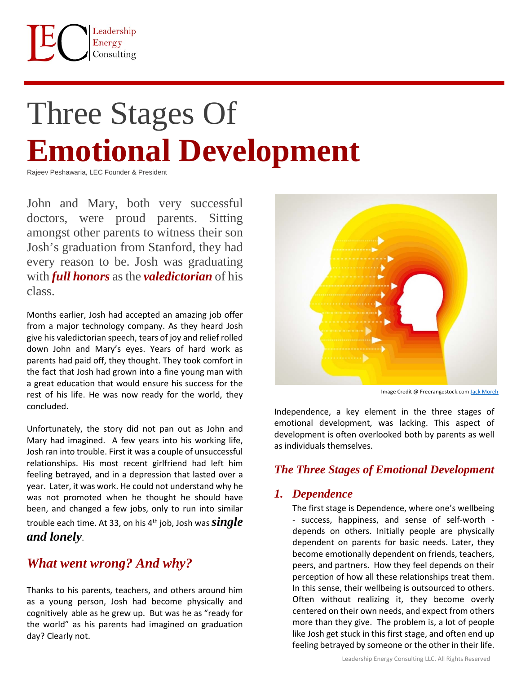

# Three Stages Of **Emotional Development**

Rajeev Peshawaria, LEC Founder & President

John and Mary, both very successful doctors, were proud parents. Sitting amongst other parents to witness their son Josh's graduation from Stanford, they had every reason to be. Josh was graduating with *full honors* as the *valedictorian* of his class.

Months earlier, Josh had accepted an amazing job offer from a major technology company. As they heard Josh give his valedictorian speech, tears of joy and relief rolled down John and Mary's eyes. Years of hard work as parents had paid off, they thought. They took comfort in the fact that Josh had grown into a fine young man with a great education that would ensure his success for the rest of his life. He was now ready for the world, they concluded.

Unfortunately, the story did not pan out as John and Mary had imagined. A few years into his working life, Josh ran into trouble. First it was a couple of unsuccessful relationships. His most recent girlfriend had left him feeling betrayed, and in a depression that lasted over a year. Later, it was work. He could not understand why he was not promoted when he thought he should have been, and changed a few jobs, only to run into similar trouble each time. At 33, on his 4th job, Josh was *single and lonely*.

# *What went wrong? And why?*

Thanks to his parents, teachers, and others around him as a young person, Josh had become physically and cognitively able as he grew up. But was he as "ready for the world" as his parents had imagined on graduation day? Clearly not.



Image Credit @ Freerangestock.com [Jack Moreh](https://freerangestock.com/photos/94197/environmental-inputs-to-the-brain--perception-concept-.html)

Independence, a key element in the three stages of emotional development, was lacking. This aspect of development is often overlooked both by parents as well as individuals themselves.

## *The Three Stages of Emotional Development*

## *1. Dependence*

The first stage is Dependence, where one's wellbeing - success, happiness, and sense of self-worth depends on others. Initially people are physically dependent on parents for basic needs. Later, they become emotionally dependent on friends, teachers, peers, and partners. How they feel depends on their perception of how all these relationships treat them. In this sense, their wellbeing is outsourced to others. Often without realizing it, they become overly centered on their own needs, and expect from others more than they give. The problem is, a lot of people like Josh get stuck in this first stage, and often end up feeling betrayed by someone or the other in their life.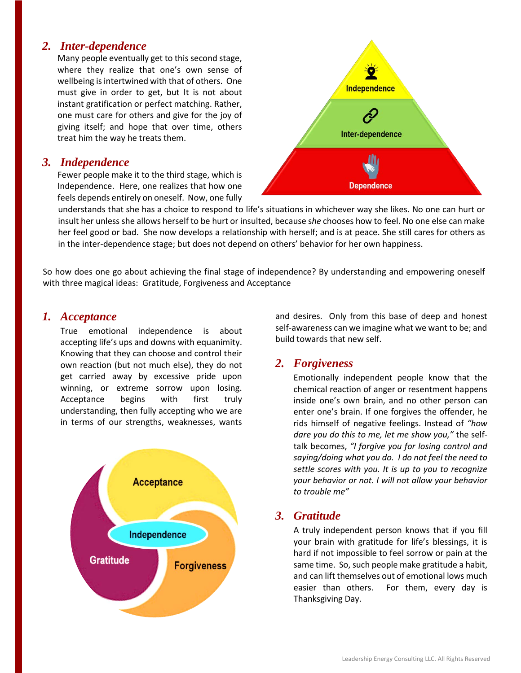#### *2. Inter-dependence*

Many people eventually get to this second stage, where they realize that one's own sense of wellbeing is intertwined with that of others. One must give in order to get, but It is not about instant gratification or perfect matching. Rather, one must care for others and give for the joy of giving itself; and hope that over time, others treat him the way he treats them.

#### *3. Independence*

Fewer people make it to the third stage, which is Independence. Here, one realizes that how one feels depends entirely on oneself. Now, one fully



understands that she has a choice to respond to life's situations in whichever way she likes. No one can hurt or insult her unless she allows herself to be hurt or insulted, because s*he* chooses how to feel. No one else can make her feel good or bad. She now develops a relationship with herself; and is at peace. She still cares for others as in the inter-dependence stage; but does not depend on others' behavior for her own happiness.

So how does one go about achieving the final stage of independence? By understanding and empowering oneself with three magical ideas: Gratitude, Forgiveness and Acceptance

#### *1. Acceptance*

True emotional independence is about accepting life's ups and downs with equanimity. Knowing that they can choose and control their own reaction (but not much else), they do not get carried away by excessive pride upon winning, or extreme sorrow upon losing. Acceptance begins with first truly understanding, then fully accepting who we are in terms of our strengths, weaknesses, wants



and desires. Only from this base of deep and honest self-awareness can we imagine what we want to be; and build towards that new self.

#### *2. Forgiveness*

Emotionally independent people know that the chemical reaction of anger or resentment happens inside one's own brain, and no other person can enter one's brain. If one forgives the offender, he rids himself of negative feelings. Instead of *"how dare you do this to me, let me show you,"* the selftalk becomes, *"I forgive you for losing control and saying/doing what you do. I do not feel the need to settle scores with you. It is up to you to recognize your behavior or not. I will not allow your behavior to trouble me"*

#### *3. Gratitude*

A truly independent person knows that if you fill your brain with gratitude for life's blessings, it is hard if not impossible to feel sorrow or pain at the same time. So, such people make gratitude a habit, and can lift themselves out of emotional lows much easier than others. For them, every day is Thanksgiving Day.